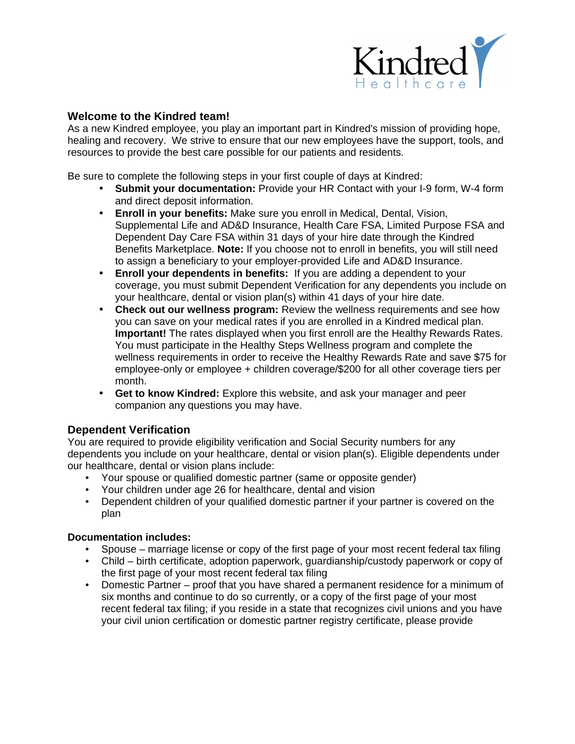

### **Welcome to the Kindred team!**

As a new Kindred employee, you play an important part in Kindred's mission of providing hope, healing and recovery. We strive to ensure that our new employees have the support, tools, and resources to provide the best care possible for our patients and residents.

Be sure to complete the following steps in your first couple of days at Kindred:

- **Submit your documentation:** Provide your HR Contact with your I-9 form, W-4 form and direct deposit information.
- **Enroll in your benefits:** Make sure you enroll in Medical, Dental, Vision, Supplemental Life and AD&D Insurance, Health Care FSA, Limited Purpose FSA and Dependent Day Care FSA within 31 days of your hire date through the Kindred Benefits Marketplace. **Note:** If you choose not to enroll in benefits, you will still need to assign a beneficiary to your employer-provided Life and AD&D Insurance.
- **Enroll your dependents in benefits:** If you are adding a dependent to your coverage, you must submit Dependent Verification for any dependents you include on your healthcare, dental or vision plan(s) within 41 days of your hire date.
- **Check out our wellness program:** Review the wellness requirements and see how you can save on your medical rates if you are enrolled in a Kindred medical plan. **Important!** The rates displayed when you first enroll are the Healthy Rewards Rates. You must participate in the Healthy Steps Wellness program and complete the wellness requirements in order to receive the Healthy Rewards Rate and save \$75 for employee-only or employee + children coverage/\$200 for all other coverage tiers per month.
- **Get to know Kindred:** Explore this website, and ask your manager and peer companion any questions you may have.

## **Dependent Verification**

You are required to provide eligibility verification and Social Security numbers for any dependents you include on your healthcare, dental or vision plan(s). Eligible dependents under our healthcare, dental or vision plans include:

- Your spouse or qualified domestic partner (same or opposite gender)  $\mathbf{r}$
- Your children under age 26 for healthcare, dental and vision
- Dependent children of your qualified domestic partner if your partner is covered on the L, plan

#### **Documentation includes:**

- Spouse marriage license or copy of the first page of your most recent federal tax filing
- Child birth certificate, adoption paperwork, guardianship/custody paperwork or copy of the first page of your most recent federal tax filing
- Domestic Partner proof that you have shared a permanent residence for a minimum of six months and continue to do so currently, or a copy of the first page of your most recent federal tax filing; if you reside in a state that recognizes civil unions and you have your civil union certification or domestic partner registry certificate, please provide